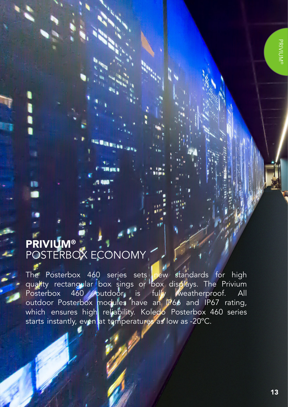## PRIVIUM® POSTERBOX ECONOMY

The Posterbox 460 series sets new standards for high quality rectangular box sings or box displays. The Privium Posterbox 460 putdoor is fully weatherproof. All outdoor Posterbox modules have an IP66 and IP67 rating, which ensures high reliability. Koledo Posterbox 460 series starts instantly, even at temperatures as low as -20°C.